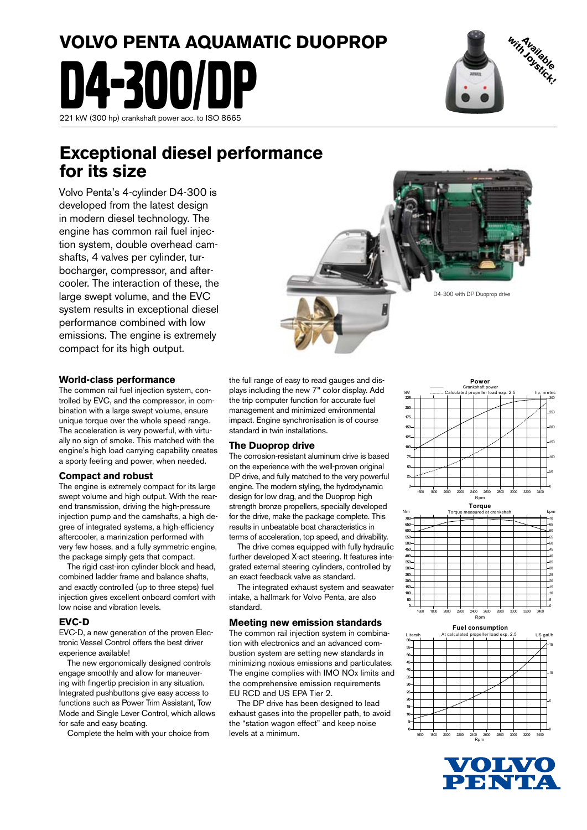# **VOLVO PENTA AQUAMATIC DUOPROP** D4-300/DP 221 kW (300 hp) crankshaft power acc. to ISO 8665



## **Exceptional diesel performance for its size**

Volvo Penta's 4-cylinder D4-300 is developed from the latest design in modern diesel technology. The engine has common rail fuel injection system, double overhead camshafts, 4 valves per cylinder, turbocharger, compressor, and aftercooler. The interaction of these, the large swept volume, and the EVC system results in exceptional diesel performance combined with low emissions. The engine is extremely compact for its high output.



The common rail fuel injection system, controlled by EVC, and the compressor, in combination with a large swept volume, ensure unique torque over the whole speed range. The acceleration is very powerful, with virtually no sign of smoke. This matched with the engine's high load carrying capability creates a sporty feeling and power, when needed.

#### **Compact and robust**

The engine is extremely compact for its large swept volume and high output. With the rearend transmission, driving the high-pressure injection pump and the camshafts, a high degree of integrated systems, a high-efficiency aftercooler, a marinization performed with very few hoses, and a fully symmetric engine, the package simply gets that compact.

 The rigid cast-iron cylinder block and head, combined ladder frame and balance shafts, and exactly controlled (up to three steps) fuel injection gives excellent onboard comfort with low noise and vibration levels.

#### **EVC-D**

EVC-D, a new generation of the proven Electronic Vessel Control offers the best driver experience available!

 The new ergonomically designed controls engage smoothly and allow for maneuvering with fingertip precision in any situation. Integrated pushbuttons give easy access to functions such as Power Trim Assistant, Tow Mode and Single Lever Control, which allows for safe and easy boating.

Complete the helm with your choice from

the full range of easy to read gauges and displays including the new 7" color display. Add the trip computer function for accurate fuel management and minimized environmental impact. Engine synchronisation is of course standard in twin installations.

#### **The Duoprop drive**

The corrosion-resistant aluminum drive is based on the experience with the well-proven original DP drive, and fully matched to the very powerful engine. The modern styling, the hydrodynamic design for low drag, and the Duoprop high strength bronze propellers, specially developed for the drive, make the package complete. This results in unbeatable boat characteristics in terms of acceleration, top speed, and drivability.

 The drive comes equipped with fully hydraulic further developed X-act steering. It features integrated external steering cylinders, controlled by an exact feedback valve as standard.

 The integrated exhaust system and seawater intake, a hallmark for Volvo Penta, are also standard.

#### **Meeting new emission standards**

The common rail injection system in combination with electronics and an advanced combustion system are setting new standards in minimizing noxious emissions and particulates. The engine complies with IMO NOx limits and the comprehensive emission requirements EU RCD and US EPA Tier 2.

 The DP drive has been designed to lead exhaust gases into the propeller path, to avoid the "station wagon effect" and keep noise levels at a minimum.